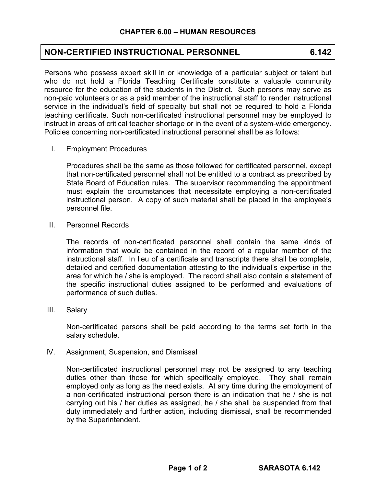## **NON-CERTIFIED INSTRUCTIONAL PERSONNEL 6.142**

Persons who possess expert skill in or knowledge of a particular subject or talent but who do not hold a Florida Teaching Certificate constitute a valuable community resource for the education of the students in the District. Such persons may serve as non-paid volunteers or as a paid member of the instructional staff to render instructional service in the individual's field of specialty but shall not be required to hold a Florida teaching certificate. Such non-certificated instructional personnel may be employed to instruct in areas of critical teacher shortage or in the event of a system-wide emergency. Policies concerning non-certificated instructional personnel shall be as follows:

I. Employment Procedures

Procedures shall be the same as those followed for certificated personnel, except that non-certificated personnel shall not be entitled to a contract as prescribed by State Board of Education rules. The supervisor recommending the appointment must explain the circumstances that necessitate employing a non-certificated instructional person. A copy of such material shall be placed in the employee's personnel file.

II. Personnel Records

The records of non-certificated personnel shall contain the same kinds of information that would be contained in the record of a regular member of the instructional staff. In lieu of a certificate and transcripts there shall be complete, detailed and certified documentation attesting to the individual's expertise in the area for which he / she is employed. The record shall also contain a statement of the specific instructional duties assigned to be performed and evaluations of performance of such duties.

III. Salary

Non-certificated persons shall be paid according to the terms set forth in the salary schedule.

IV. Assignment, Suspension, and Dismissal

Non-certificated instructional personnel may not be assigned to any teaching duties other than those for which specifically employed. They shall remain employed only as long as the need exists. At any time during the employment of a non-certificated instructional person there is an indication that he / she is not carrying out his / her duties as assigned, he / she shall be suspended from that duty immediately and further action, including dismissal, shall be recommended by the Superintendent.